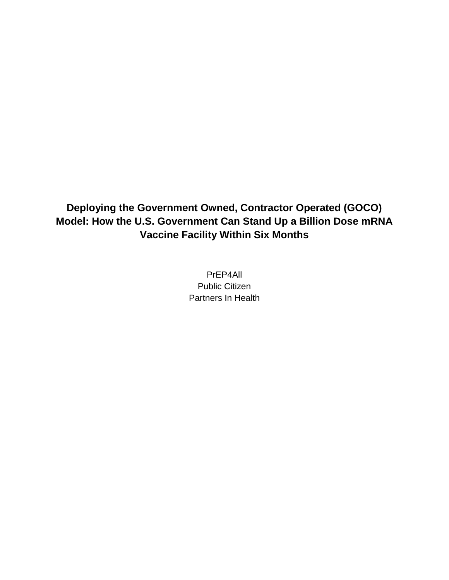# **Deploying the Government Owned, Contractor Operated (GOCO) Model: How the U.S. Government Can Stand Up a Billion Dose mRNA Vaccine Facility Within Six Months**

PrEP4All Public Citizen Partners In Health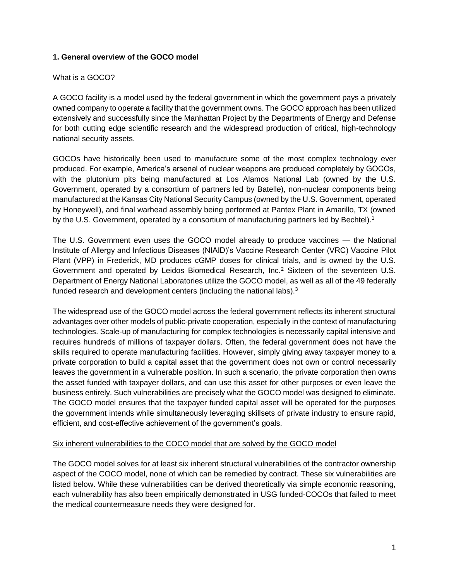#### **1. General overview of the GOCO model**

#### What is a GOCO?

A GOCO facility is a model used by the federal government in which the government pays a privately owned company to operate a facility that the government owns. The GOCO approach has been utilized extensively and successfully since the Manhattan Project by the Departments of Energy and Defense for both cutting edge scientific research and the widespread production of critical, high-technology national security assets.

GOCOs have historically been used to manufacture some of the most complex technology ever produced. For example, America's arsenal of nuclear weapons are produced completely by GOCOs, with the plutonium pits being manufactured at Los Alamos National Lab (owned by the U.S. Government, operated by a consortium of partners led by Batelle), non-nuclear components being manufactured at the Kansas City National Security Campus (owned by the U.S. Government, operated by Honeywell), and final warhead assembly being performed at Pantex Plant in Amarillo, TX (owned by the U.S. Government, operated by a consortium of manufacturing partners led by Bechtel).<sup>1</sup>

The U.S. Government even uses the GOCO model already to produce vaccines — the National Institute of Allergy and Infectious Diseases (NIAID)'s Vaccine Research Center (VRC) Vaccine Pilot Plant (VPP) in Frederick, MD produces cGMP doses for clinical trials, and is owned by the U.S. Government and operated by Leidos Biomedical Research, Inc.<sup>2</sup> Sixteen of the seventeen U.S. Department of Energy National Laboratories utilize the GOCO model, as well as all of the 49 federally funded research and development centers (including the national labs).<sup>3</sup>

The widespread use of the GOCO model across the federal government reflects its inherent structural advantages over other models of public-private cooperation, especially in the context of manufacturing technologies. Scale-up of manufacturing for complex technologies is necessarily capital intensive and requires hundreds of millions of taxpayer dollars. Often, the federal government does not have the skills required to operate manufacturing facilities. However, simply giving away taxpayer money to a private corporation to build a capital asset that the government does not own or control necessarily leaves the government in a vulnerable position. In such a scenario, the private corporation then owns the asset funded with taxpayer dollars, and can use this asset for other purposes or even leave the business entirely. Such vulnerabilities are precisely what the GOCO model was designed to eliminate. The GOCO model ensures that the taxpayer funded capital asset will be operated for the purposes the government intends while simultaneously leveraging skillsets of private industry to ensure rapid, efficient, and cost-effective achievement of the government's goals.

### Six inherent vulnerabilities to the COCO model that are solved by the GOCO model

The GOCO model solves for at least six inherent structural vulnerabilities of the contractor ownership aspect of the COCO model, none of which can be remedied by contract. These six vulnerabilities are listed below. While these vulnerabilities can be derived theoretically via simple economic reasoning, each vulnerability has also been empirically demonstrated in USG funded-COCOs that failed to meet the medical countermeasure needs they were designed for.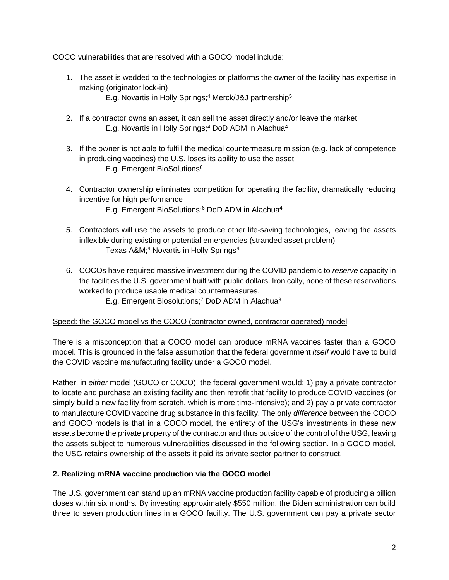COCO vulnerabilities that are resolved with a GOCO model include:

- 1. The asset is wedded to the technologies or platforms the owner of the facility has expertise in making (originator lock-in)
	- E.g. Novartis in Holly Springs;<sup>4</sup> Merck/J&J partnership<sup>5</sup>
- 2. If a contractor owns an asset, it can sell the asset directly and/or leave the market E.g. Novartis in Holly Springs;<sup>4</sup> DoD ADM in Alachua<sup>4</sup>
- 3. If the owner is not able to fulfill the medical countermeasure mission (e.g. lack of competence in producing vaccines) the U.S. loses its ability to use the asset E.g. Emergent BioSolutions<sup>6</sup>
- 4. Contractor ownership eliminates competition for operating the facility, dramatically reducing incentive for high performance
	- E.g. Emergent BioSolutions;<sup>6</sup> DoD ADM in Alachua<sup>4</sup>
- 5. Contractors will use the assets to produce other life-saving technologies, leaving the assets inflexible during existing or potential emergencies (stranded asset problem) Texas A&M;<sup>4</sup> Novartis in Holly Springs<sup>4</sup>
- 6. COCOs have required massive investment during the COVID pandemic to *reserve* capacity in the facilities the U.S. government built with public dollars. Ironically, none of these reservations worked to produce usable medical countermeasures.
	- E.g. Emergent Biosolutions;<sup>7</sup> DoD ADM in Alachua<sup>8</sup>

### Speed: the GOCO model vs the COCO (contractor owned, contractor operated) model

There is a misconception that a COCO model can produce mRNA vaccines faster than a GOCO model. This is grounded in the false assumption that the federal government *itself* would have to build the COVID vaccine manufacturing facility under a GOCO model.

Rather, in *either* model (GOCO or COCO), the federal government would: 1) pay a private contractor to locate and purchase an existing facility and then retrofit that facility to produce COVID vaccines (or simply build a new facility from scratch, which is more time-intensive); and 2) pay a private contractor to manufacture COVID vaccine drug substance in this facility. The only *difference* between the COCO and GOCO models is that in a COCO model, the entirety of the USG's investments in these new assets become the private property of the contractor and thus outside of the control of the USG, leaving the assets subject to numerous vulnerabilities discussed in the following section. In a GOCO model, the USG retains ownership of the assets it paid its private sector partner to construct.

### **2. Realizing mRNA vaccine production via the GOCO model**

The U.S. government can stand up an mRNA vaccine production facility capable of producing a billion doses within six months. By investing approximately \$550 million, the Biden administration can build three to seven production lines in a GOCO facility. The U.S. government can pay a private sector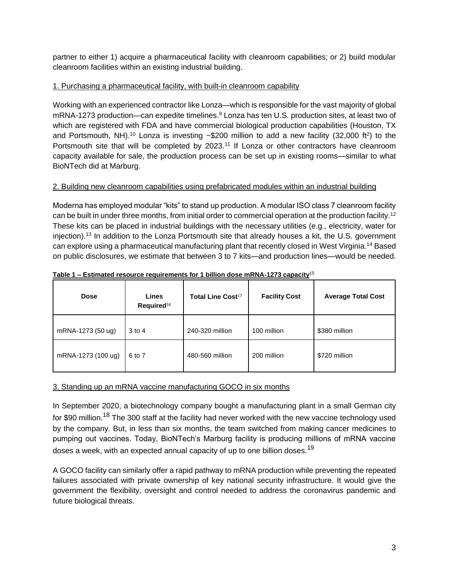partner to either 1) acquire a pharmaceutical facility with cleanroom capabilities; or 2) build modular cleanroom facilities within an existing industrial building.

## 1. Purchasing a pharmaceutical facility, with built-in cleanroom capability

Working with an experienced contractor like Lonza—which is responsible for the vast majority of global mRNA-1273 production—can expedite timelines.<sup>9</sup> Lonza has ten U.S. production sites, at least two of which are registered with FDA and have commercial biological production capabilities (Houston, TX and Portsmouth, NH).<sup>10</sup> Lonza is investing  $\sim$ \$200 million to add a new facility (32,000 ft<sup>2</sup>) to the Portsmouth site that will be completed by 2023.<sup>11</sup> If Lonza or other contractors have cleanroom capacity available for sale, the production process can be set up in existing rooms—similar to what BioNTech did at Marburg.

## 2. Building new cleanroom capabilities using prefabricated modules within an industrial building

Moderna has employed modular "kits" to stand up production. A modular ISO class 7 cleanroom facility can be built in under three months, from initial order to commercial operation at the production facility.<sup>12</sup> These kits can be placed in industrial buildings with the necessary utilities (e.g., electricity, water for injection).<sup>13</sup> In addition to the Lonza Portsmouth site that already houses a kit, the U.S. government can explore using a pharmaceutical manufacturing plant that recently closed in West Virginia.<sup>14</sup> Based on public disclosures, we estimate that between 3 to 7 kits—and production lines—would be needed.

| <b>Dose</b>        | Lines<br>Required <sup>16</sup> | Total Line Cost <sup>17</sup> | <b>Facility Cost</b> | <b>Average Total Cost</b> |
|--------------------|---------------------------------|-------------------------------|----------------------|---------------------------|
| mRNA-1273 (50 ug)  | $3$ to 4                        | 240-320 million               | 100 million          | \$380 million             |
| mRNA-1273 (100 ug) | 6 to 7                          | 480-560 million               | 200 million          | \$720 million             |

**Table 1 – Estimated resource requirements for 1 billion dose mRNA-1273 capacity**<sup>15</sup>

## 3. Standing up an mRNA vaccine manufacturing GOCO in six months

In September 2020, a biotechnology company bought a manufacturing plant in a small German city for \$90 million.<sup>18</sup> The 300 staff at the facility had never worked with the new vaccine technology used by the company. But, in less than six months, the team switched from making cancer medicines to pumping out vaccines. Today, BioNTech's Marburg facility is producing millions of mRNA vaccine doses a week, with an expected annual capacity of up to one billion doses.<sup>19</sup>

A GOCO facility can similarly offer a rapid pathway to mRNA production while preventing the repeated failures associated with private ownership of key national security infrastructure. It would give the government the flexibility, oversight and control needed to address the coronavirus pandemic and future biological threats.